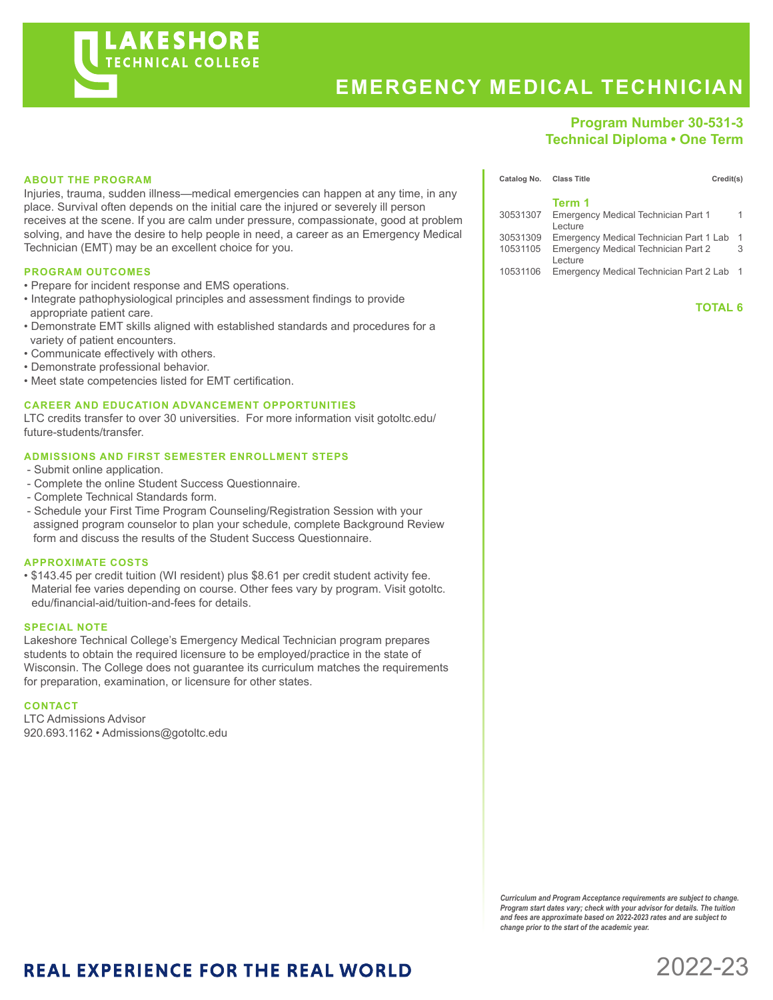

# **EMERGENCY MEDICAL TECHNICIAN**

# **Program Number 30-531-3 Technical Diploma • One Term**

#### **ABOUT THE PROGRAM**

Injuries, trauma, sudden illness—medical emergencies can happen at any time, in any place. Survival often depends on the initial care the injured or severely ill person receives at the scene. If you are calm under pressure, compassionate, good at problem solving, and have the desire to help people in need, a career as an Emergency Medical Technician (EMT) may be an excellent choice for you.

# **PROGRAM OUTCOMES**

- Prepare for incident response and EMS operations.
- Integrate pathophysiological principles and assessment findings to provide appropriate patient care.
- Demonstrate EMT skills aligned with established standards and procedures for a variety of patient encounters.
- Communicate effectively with others.
- Demonstrate professional behavior.
- Meet state competencies listed for EMT certification.

## **CAREER AND EDUCATION ADVANCEMENT OPPORTUNITIES**

LTC credits transfer to over 30 universities. For more information visit gotoltc.edu/ future-students/transfer.

#### **ADMISSIONS AND FIRST SEMESTER ENROLLMENT STEPS**

- Submit online application.
- Complete the online Student Success Questionnaire.
- Complete Technical Standards form.
- Schedule your First Time Program Counseling/Registration Session with your assigned program counselor to plan your schedule, complete Background Review form and discuss the results of the Student Success Questionnaire.

#### **APPROXIMATE COSTS**

• \$143.45 per credit tuition (WI resident) plus \$8.61 per credit student activity fee. Material fee varies depending on course. Other fees vary by program. Visit gotoltc. edu/financial-aid/tuition-and-fees for details.

#### **SPECIAL NOTE**

Lakeshore Technical College's Emergency Medical Technician program prepares students to obtain the required licensure to be employed/practice in the state of Wisconsin. The College does not guarantee its curriculum matches the requirements for preparation, examination, or licensure for other states.

# **CONTACT**

LTC Admissions Advisor 920.693.1162 • Admissions@gotoltc.edu

| Catalog No. Class Title | Credit(s)                                          |                |
|-------------------------|----------------------------------------------------|----------------|
|                         | Term 1                                             |                |
| 30531307                | Emergency Medical Technician Part 1<br>Lecture     |                |
| 30531309                | Emergency Medical Technician Part 1 Lab            | $\overline{1}$ |
| 10531105                | Emergency Medical Technician Part 2<br>Lecture     | 3              |
|                         | 10531106 Emergency Medical Technician Part 2 Lab 1 |                |

# **TOTAL 6**

*Curriculum and Program Acceptance requirements are subject to change. Program start dates vary; check with your advisor for details. The tuition and fees are approximate based on 2022-2023 rates and are subject to change prior to the start of the academic year.* 

# **REAL EXPERIENCE FOR THE REAL WORLD**